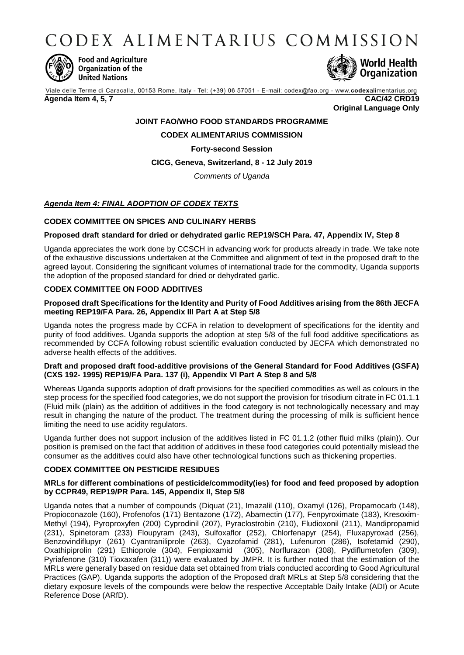CODEX ALIMENTARIUS COMMISSION



**Food and Agriculture** Organization of the **United Nations** 



Viale delle Terme di Caracalla, 00153 Rome, Italy - Tel: (+39) 06 57051 - E-mail: codex@fao.org - www.codexalimentarius.org **Agenda Item 4, 5, 7 CAC/42 CRD19**

**Original Language Only**

## **JOINT FAO/WHO FOOD STANDARDS PROGRAMME**

## **CODEX ALIMENTARIUS COMMISSION**

### **Forty-second Session**

## **CICG, Geneva, Switzerland, 8 - 12 July 2019**

*Comments of Uganda*

# *Agenda Item 4: FINAL ADOPTION OF CODEX TEXTS*

### **CODEX COMMITTEE ON SPICES AND CULINARY HERBS**

### **Proposed draft standard for dried or dehydrated garlic REP19/SCH Para. 47, Appendix IV, Step 8**

Uganda appreciates the work done by CCSCH in advancing work for products already in trade. We take note of the exhaustive discussions undertaken at the Committee and alignment of text in the proposed draft to the agreed layout. Considering the significant volumes of international trade for the commodity, Uganda supports the adoption of the proposed standard for dried or dehydrated garlic.

## **CODEX COMMITTEE ON FOOD ADDITIVES**

### **Proposed draft Specifications for the Identity and Purity of Food Additives arising from the 86th JECFA meeting REP19/FA Para. 26, Appendix III Part A at Step 5/8**

Uganda notes the progress made by CCFA in relation to development of specifications for the identity and purity of food additives. Uganda supports the adoption at step 5/8 of the full food additive specifications as recommended by CCFA following robust scientific evaluation conducted by JECFA which demonstrated no adverse health effects of the additives.

### **Draft and proposed draft food-additive provisions of the General Standard for Food Additives (GSFA) (CXS 192- 1995) REP19/FA Para. 137 (i), Appendix VI Part A Step 8 and 5/8**

Whereas Uganda supports adoption of draft provisions for the specified commodities as well as colours in the step process for the specified food categories, we do not support the provision for trisodium citrate in FC 01.1.1 (Fluid milk (plain) as the addition of additives in the food category is not technologically necessary and may result in changing the nature of the product. The treatment during the processing of milk is sufficient hence limiting the need to use acidity regulators.

Uganda further does not support inclusion of the additives listed in FC 01.1.2 (other fluid milks (plain)). Our position is premised on the fact that addition of additives in these food categories could potentially mislead the consumer as the additives could also have other technological functions such as thickening properties.

### **CODEX COMMITTEE ON PESTICIDE RESIDUES**

### **MRLs for different combinations of pesticide/commodity(ies) for food and feed proposed by adoption by CCPR49, REP19/PR Para. 145, Appendix II, Step 5/8**

Uganda notes that a number of compounds (Diquat (21), Imazalil (110), Oxamyl (126), Propamocarb (148), Propioconazole (160), Profenofos (171) Bentazone (172), Abamectin (177), Fenpyroximate (183), Kresoxim-Methyl (194), Pyroproxyfen (200) Cyprodinil (207), Pyraclostrobin (210), Fludioxonil (211), Mandipropamid (231), Spinetoram (233) Floupyram (243), Sulfoxaflor (252), Chlorfenapyr (254), Fluxapyroxad (256), Benzovindiflupyr (261) Cyantraniliprole (263), Cyazofamid (281), Lufenuron (286), Isofetamid (290), Oxathipiprolin (291) Ethioprole (304), Fenpioxamid (305), Norflurazon (308), Pydiflumetofen (309), Pyriafenone (310) Tioxaxafen (311)) were evaluated by JMPR. It is further noted that the estimation of the MRLs were generally based on residue data set obtained from trials conducted according to Good Agricultural Practices (GAP). Uganda supports the adoption of the Proposed draft MRLs at Step 5/8 considering that the dietary exposure levels of the compounds were below the respective Acceptable Daily Intake (ADI) or Acute Reference Dose (ARfD).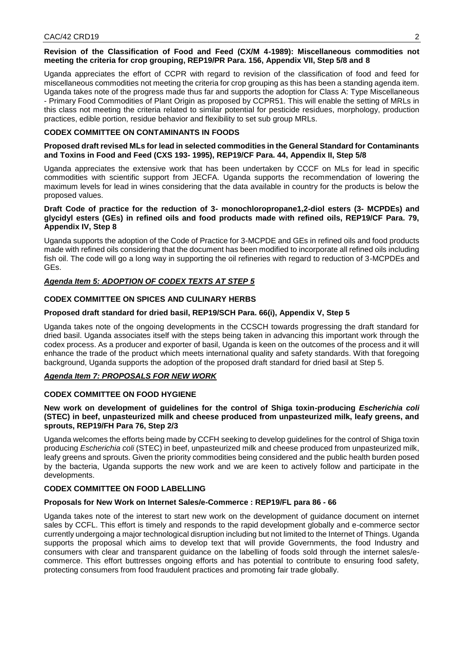#### **Revision of the Classification of Food and Feed (CX/M 4-1989): Miscellaneous commodities not meeting the criteria for crop grouping, REP19/PR Para. 156, Appendix VII, Step 5/8 and 8**

Uganda appreciates the effort of CCPR with regard to revision of the classification of food and feed for miscellaneous commodities not meeting the criteria for crop grouping as this has been a standing agenda item. Uganda takes note of the progress made thus far and supports the adoption for Class A: Type Miscellaneous - Primary Food Commodities of Plant Origin as proposed by CCPR51. This will enable the setting of MRLs in this class not meeting the criteria related to similar potential for pesticide residues, morphology, production practices, edible portion, residue behavior and flexibility to set sub group MRLs.

### **CODEX COMMITTEE ON CONTAMINANTS IN FOODS**

### **Proposed draft revised MLs for lead in selected commodities in the General Standard for Contaminants and Toxins in Food and Feed (CXS 193- 1995), REP19/CF Para. 44, Appendix II, Step 5/8**

Uganda appreciates the extensive work that has been undertaken by CCCF on MLs for lead in specific commodities with scientific support from JECFA. Uganda supports the recommendation of lowering the maximum levels for lead in wines considering that the data available in country for the products is below the proposed values.

### **Draft Code of practice for the reduction of 3- monochloropropane1,2-diol esters (3- MCPDEs) and glycidyl esters (GEs) in refined oils and food products made with refined oils, REP19/CF Para. 79, Appendix IV, Step 8**

Uganda supports the adoption of the Code of Practice for 3-MCPDE and GEs in refined oils and food products made with refined oils considering that the document has been modified to incorporate all refined oils including fish oil. The code will go a long way in supporting the oil refineries with regard to reduction of 3-MCPDEs and GEs.

### *Agenda Item 5: ADOPTION OF CODEX TEXTS AT STEP 5*

### **CODEX COMMITTEE ON SPICES AND CULINARY HERBS**

# **Proposed draft standard for dried basil, REP19/SCH Para. 66(i), Appendix V, Step 5**

Uganda takes note of the ongoing developments in the CCSCH towards progressing the draft standard for dried basil. Uganda associates itself with the steps being taken in advancing this important work through the codex process. As a producer and exporter of basil, Uganda is keen on the outcomes of the process and it will enhance the trade of the product which meets international quality and safety standards. With that foregoing background, Uganda supports the adoption of the proposed draft standard for dried basil at Step 5.

## *Agenda Item 7: PROPOSALS FOR NEW WORK*

### **CODEX COMMITTEE ON FOOD HYGIENE**

### **New work on development of guidelines for the control of Shiga toxin-producing** *Escherichia coli*  **(STEC) in beef, unpasteurized milk and cheese produced from unpasteurized milk, leafy greens, and sprouts, REP19/FH Para 76, Step 2/3**

Uganda welcomes the efforts being made by CCFH seeking to develop guidelines for the control of Shiga toxin producing *Escherichia coli* (STEC) in beef, unpasteurized milk and cheese produced from unpasteurized milk, leafy greens and sprouts. Given the priority commodities being considered and the public health burden posed by the bacteria, Uganda supports the new work and we are keen to actively follow and participate in the developments.

### **CODEX COMMITTEE ON FOOD LABELLING**

### **Proposals for New Work on Internet Sales/e-Commerce : REP19/FL para 86 - 66**

Uganda takes note of the interest to start new work on the development of guidance document on internet sales by CCFL. This effort is timely and responds to the rapid development globally and e-commerce sector currently undergoing a major technological disruption including but not limited to the Internet of Things. Uganda supports the proposal which aims to develop text that will provide Governments, the food Industry and consumers with clear and transparent guidance on the labelling of foods sold through the internet sales/ecommerce. This effort buttresses ongoing efforts and has potential to contribute to ensuring food safety, protecting consumers from food fraudulent practices and promoting fair trade globally.